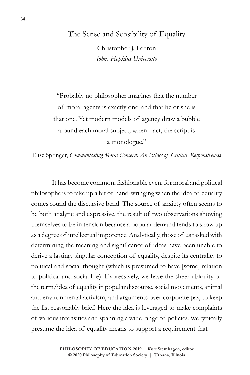## The Sense and Sensibility of Equality

Christopher J. Lebron *Johns Hopkins University*

"Probably no philosopher imagines that the number of moral agents is exactly one, and that he or she is that one. Yet modern models of agency draw a bubble around each moral subject; when I act, the script is a monologue."

Elise Springer, *Communicating Moral Concern: An Ethics of Critical Responsiveness*

It has become common, fashionable even, for moral and political philosophers to take up a bit of hand-wringing when the idea of equality comes round the discursive bend. The source of anxiety often seems to be both analytic and expressive, the result of two observations showing themselves to be in tension because a popular demand tends to show up as a degree of intellectual impotence. Analytically, those of us tasked with determining the meaning and significance of ideas have been unable to derive a lasting, singular conception of equality, despite its centrality to political and social thought (which is presumed to have [some] relation to political and social life). Expressively, we have the sheer ubiquity of the term/idea of equality in popular discourse, social movements, animal and environmental activism, and arguments over corporate pay, to keep the list reasonably brief. Here the idea is leveraged to make complaints of various intensities and spanning a wide range of policies. We typically presume the idea of equality means to support a requirement that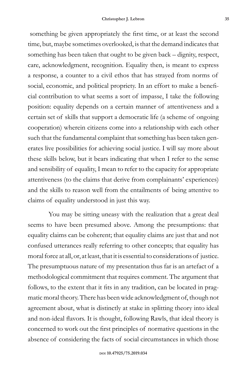something be given appropriately the first time, or at least the second time, but, maybe sometimes overlooked, is that the demand indicates that something has been taken that ought to be given back – dignity, respect, care, acknowledgment, recognition. Equality then, is meant to express a response, a counter to a civil ethos that has strayed from norms of social, economic, and political propriety. In an effort to make a beneficial contribution to what seems a sort of impasse, I take the following position: equality depends on a certain manner of attentiveness and a certain set of skills that support a democratic life (a scheme of ongoing cooperation) wherein citizens come into a relationship with each other such that the fundamental complaint that something has been taken generates live possibilities for achieving social justice. I will say more about these skills below, but it bears indicating that when I refer to the sense and sensibility of equality, I mean to refer to the capacity for appropriate attentiveness (to the claims that derive from complainants' experiences) and the skills to reason well from the entailments of being attentive to claims of equality understood in just this way.

You may be sitting uneasy with the realization that a great deal seems to have been presumed above. Among the presumptions: that equality claims can be coherent; that equality claims are just that and not confused utterances really referring to other concepts; that equality has moral force at all, or, at least, that it is essential to considerations of justice. The presumptuous nature of my presentation thus far is an artefact of a methodological commitment that requires comment. The argument that follows, to the extent that it fits in any tradition, can be located in pragmatic moral theory. There has been wide acknowledgment of, though not agreement about, what is distinctly at stake in splitting theory into ideal and non-ideal flavors. It is thought, following Rawls, that ideal theory is concerned to work out the first principles of normative questions in the absence of considering the facts of social circumstances in which those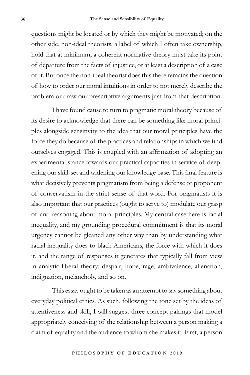questions might be located or by which they might be motivated; on the other side, non-ideal theorists, a label of which I often take ownership, hold that at minimum, a coherent normative theory must take its point of departure from the facts of injustice, or at least a description of a case of it. But once the non-ideal theorist does this there remains the question of how to order our moral intuitions in order to not merely describe the problem or draw our prescriptive arguments just from that description.

I have found cause to turn to pragmatic moral theory because of its desire to acknowledge that there can be something like moral principles alongside sensitivity to the idea that our moral principles have the force they do because of the practices and relationships in which we find ourselves engaged. This is coupled with an affirmation of adopting an experimental stance towards our practical capacities in service of deepening our skill-set and widening our knowledge base. This final feature is what decisively prevents pragmatism from being a defense or proponent of conservatism in the strict sense of that word. For pragmatists it is also important that our practices (ought to serve to) modulate our grasp of and reasoning about moral principles. My central case here is racial inequality, and my grounding procedural commitment is that its moral urgency cannot be gleaned any other way than by understanding what racial inequality does to black Americans, the force with which it does it, and the range of responses it generates that typically fall from view in analytic liberal theory: despair, hope, rage, ambivalence, alienation, indignation, melancholy, and so on.

This essay ought to be taken as an attempt to say something about everyday political ethics. As such, following the tone set by the ideas of attentiveness and skill, I will suggest three concept pairings that model appropriately conceiving of the relationship between a person making a claim of equality and the audience to whom she makes it. First, a person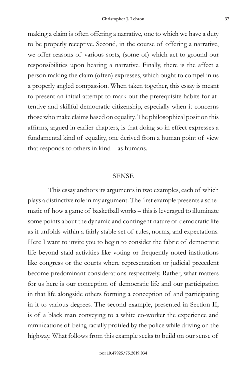making a claim is often offering a narrative, one to which we have a duty to be properly receptive. Second, in the course of offering a narrative, we offer reasons of various sorts, (some of) which act to ground our responsibilities upon hearing a narrative. Finally, there is the affect a person making the claim (often) expresses, which ought to compel in us a properly angled compassion. When taken together, this essay is meant to present an initial attempt to mark out the prerequisite habits for attentive and skillful democratic citizenship, especially when it concerns those who make claims based on equality. The philosophical position this affirms, argued in earlier chapters, is that doing so in effect expresses a fundamental kind of equality, one derived from a human point of view that responds to others in kind – as humans.

## **SENSE**

This essay anchors its arguments in two examples, each of which plays a distinctive role in my argument. The first example presents a schematic of how a game of basketball works – this is leveraged to illuminate some points about the dynamic and contingent nature of democratic life as it unfolds within a fairly stable set of rules, norms, and expectations. Here I want to invite you to begin to consider the fabric of democratic life beyond staid activities like voting or frequently noted institutions like congress or the courts where representation or judicial precedent become predominant considerations respectively. Rather, what matters for us here is our conception of democratic life and our participation in that life alongside others forming a conception of and participating in it to various degrees. The second example, presented in Section II, is of a black man conveying to a white co-worker the experience and ramifications of being racially profiled by the police while driving on the highway. What follows from this example seeks to build on our sense of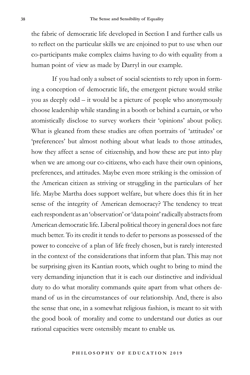the fabric of democratic life developed in Section I and further calls us to reflect on the particular skills we are enjoined to put to use when our co-participants make complex claims having to do with equality from a human point of view as made by Darryl in our example.

If you had only a subset of social scientists to rely upon in forming a conception of democratic life, the emergent picture would strike you as deeply odd – it would be a picture of people who anonymously choose leadership while standing in a booth or behind a curtain, or who atomistically disclose to survey workers their 'opinions' about policy. What is gleaned from these studies are often portraits of 'attitudes' or 'preferences' but almost nothing about what leads to those attitudes, how they affect a sense of citizenship, and how these are put into play when we are among our co-citizens, who each have their own opinions, preferences, and attitudes. Maybe even more striking is the omission of the American citizen as striving or struggling in the particulars of her life. Maybe Martha does support welfare, but where does this fit in her sense of the integrity of American democracy? The tendency to treat each respondent as an 'observation' or 'data point' radically abstracts from American democratic life. Liberal political theory in general does not fare much better. To its credit it tends to defer to persons as possessed of the power to conceive of a plan of life freely chosen, but is rarely interested in the context of the considerations that inform that plan. This may not be surprising given its Kantian roots, which ought to bring to mind the very demanding injunction that it is each our distinctive and individual duty to do what morality commands quite apart from what others demand of us in the circumstances of our relationship. And, there is also the sense that one, in a somewhat religious fashion, is meant to sit with the good book of morality and come to understand our duties as our rational capacities were ostensibly meant to enable us.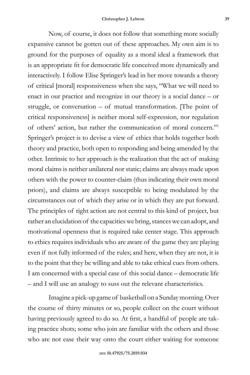Now, of course, it does not follow that something more socially expansive cannot be gotten out of these approaches. My own aim is to ground for the purposes of equality as a moral ideal a framework that is an appropriate fit for democratic life conceived more dynamically and interactively. I follow Elise Springer's lead in her move towards a theory of critical [moral] responsiveness when she says, "What we will need to enact in our practice and recognize in our theory is a social dance – or struggle, or conversation – of mutual transformation. [The point of critical responsiveness] is neither moral self-expression, nor regulation of others' action, but rather the communication of moral concern."1 Springer's project is to devise a view of ethics that holds together both theory and practice, both open to responding and being amended by the other. Intrinsic to her approach is the realization that the act of making moral claims is neither unilateral nor static; claims are always made upon others with the power to counter-claim (thus indicating their own moral priors), and claims are always susceptible to being modulated by the circumstances out of which they arise or in which they are put forward. The principles of right action are not central to this kind of project, but rather an elucidation of the capacities we bring, stances we can adopt, and motivational openness that is required take center stage. This approach to ethics requires individuals who are aware of the game they are playing even if not fully informed of the rules; and here, when they are not, it is to the point that they be willing and able to take ethical cues from others. I am concerned with a special case of this social dance – democratic life – and I will use an analogy to suss out the relevant characteristics.

Imagine a pick-up game of basketball on a Sunday morning. Over the course of thirty minutes or so, people collect on the court without having previously agreed to do so. At first, a handful of people are taking practice shots; some who join are familiar with the others and those who are not ease their way onto the court either waiting for someone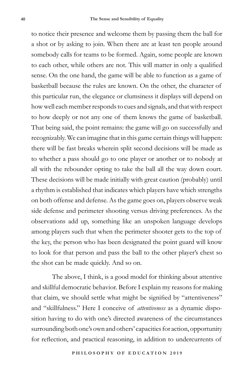to notice their presence and welcome them by passing them the ball for a shot or by asking to join. When there are at least ten people around somebody calls for teams to be formed. Again, some people are known to each other, while others are not. This will matter in only a qualified sense. On the one hand, the game will be able to function as a game of basketball because the rules are known. On the other, the character of this particular run, the elegance or clumsiness it displays will depend on how well each member responds to cues and signals, and that with respect to how deeply or not any one of them knows the game of basketball. That being said, the point remains: the game will go on successfully and recognizably. We can imagine that in this game certain things will happen: there will be fast breaks wherein split second decisions will be made as to whether a pass should go to one player or another or to nobody at all with the rebounder opting to take the ball all the way down court. These decisions will be made initially with great caution (probably) until a rhythm is established that indicates which players have which strengths on both offense and defense. As the game goes on, players observe weak side defense and perimeter shooting versus driving preferences. As the observations add up, something like an unspoken language develops among players such that when the perimeter shooter gets to the top of the key, the person who has been designated the point guard will know to look for that person and pass the ball to the other player's chest so the shot can be made quickly. And so on.

The above, I think, is a good model for thinking about attentive and skillful democratic behavior. Before I explain my reasons for making that claim, we should settle what might be signified by "attentiveness" and "skillfulness." Here I conceive of *attentiveness* as a dynamic disposition having to do with one's directed awareness of the circumstances surrounding both one's own and others' capacities for action, opportunity for reflection, and practical reasoning, in addition to undercurrents of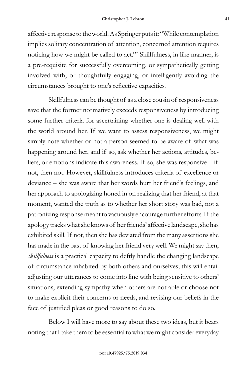affective response to the world. As Springer puts it: "While contemplation implies solitary concentration of attention, concerned attention requires noticing how we might be called to act."2 Skillfulness, in like manner, is a pre-requisite for successfully overcoming, or sympathetically getting involved with, or thoughtfully engaging, or intelligently avoiding the circumstances brought to one's reflective capacities.

Skillfulness can be thought of as a close cousin of responsiveness save that the former normatively exceeds responsiveness by introducing some further criteria for ascertaining whether one is dealing well with the world around her. If we want to assess responsiveness, we might simply note whether or not a person seemed to be aware of what was happening around her, and if so, ask whether her actions, attitudes, beliefs, or emotions indicate this awareness. If so, she was responsive – if not, then not. However, skillfulness introduces criteria of excellence or deviance – she was aware that her words hurt her friend's feelings, and her approach to apologizing honed in on realizing that her friend, at that moment, wanted the truth as to whether her short story was bad, not a patronizing response meant to vacuously encourage further efforts. If the apology tracks what she knows of her friends' affective landscape, she has exhibited skill. If not, then she has deviated from the many assertions she has made in the past of knowing her friend very well. We might say then, *skillfulness* is a practical capacity to deftly handle the changing landscape of circumstance inhabited by both others and ourselves; this will entail adjusting our utterances to come into line with being sensitive to others' situations, extending sympathy when others are not able or choose not to make explicit their concerns or needs, and revising our beliefs in the face of justified pleas or good reasons to do so.

Below I will have more to say about these two ideas, but it bears noting that I take them to be essential to what we might consider everyday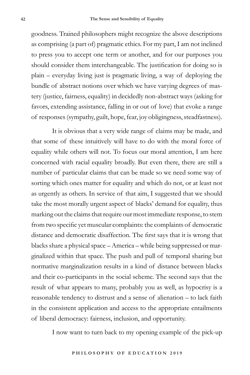goodness. Trained philosophers might recognize the above descriptions as comprising (a part of) pragmatic ethics. For my part, I am not inclined to press you to accept one term or another, and for our purposes you should consider them interchangeable. The justification for doing so is plain – everyday living just is pragmatic living, a way of deploying the bundle of abstract notions over which we have varying degrees of mastery (justice, fairness, equality) in decidedly non-abstract ways (asking for favors, extending assistance, falling in or out of love) that evoke a range of responses (sympathy, guilt, hope, fear, joy obligingness, steadfastness).

It is obvious that a very wide range of claims may be made, and that some of these intuitively will have to do with the moral force of equality while others will not. To focus our moral attention, I am here concerned with racial equality broadly. But even there, there are still a number of particular claims that can be made so we need some way of sorting which ones matter for equality and which do not, or at least not as urgently as others. In service of that aim, I suggested that we should take the most morally urgent aspect of blacks' demand for equality, thus marking out the claims that require our most immediate response, to stem from two specific yet muscular complaints: the complaints of democratic distance and democratic disaffection. The first says that it is wrong that blacks share a physical space – America – while being suppressed or marginalized within that space. The push and pull of temporal sharing but normative marginalization results in a kind of distance between blacks and their co-participants in the social scheme. The second says that the result of what appears to many, probably you as well, as hypocrisy is a reasonable tendency to distrust and a sense of alienation – to lack faith in the consistent application and access to the appropriate entailments of liberal democracy: fairness, inclusion, and opportunity.

I now want to turn back to my opening example of the pick-up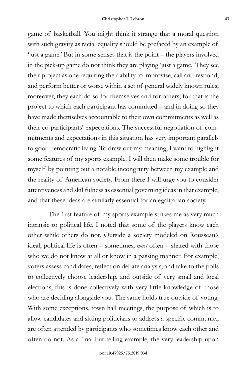game of basketball. You might think it strange that a moral question with such gravity as racial equality should be prefaced by an example of 'just a game.' But in some senses that is the point – the players involved in the pick-up game do not think they are playing 'just a game.' They see their project as one requiring their ability to improvise, call and respond, and perform better or worse within a set of general widely known rules; moreover, they each do so for themselves and for others, for that is the project to which each participant has committed – and in doing so they have made themselves accountable to their own commitments as well as their co-participants' expectations. The successful negotiation of commitments and expectations in this situation has very important parallels to good democratic living. To draw out my meaning, I want to highlight some features of my sports example. I will then make some trouble for myself by pointing out a notable incongruity between my example and the reality of American society. From there I will urge you to consider attentiveness and skillfulness as essential governing ideas in that example; and that these ideas are similarly essential for an egalitarian society.

The first feature of my sports example strikes me as very much intrinsic to political life. I noted that some of the players know each other while others do not. Outside a society modeled on Rousseau's ideal, political life is often – sometimes, *most* often – shared with those who we do not know at all or know in a passing manner. For example, voters assess candidates, reflect on debate analysis, and take to the polls to collectively choose leadership, and outside of very small and local elections, this is done collectively with very little knowledge of those who are deciding alongside you. The same holds true outside of voting. With some exceptions, town hall meetings, the purpose of which is to allow candidates and sitting politicians to address a specific community, are often attended by participants who sometimes know each other and often do not. As a final but telling example, the very leadership upon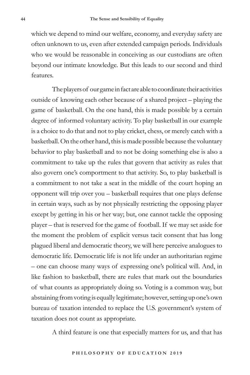which we depend to mind our welfare, economy, and everyday safety are often unknown to us, even after extended campaign periods. Individuals who we would be reasonable in conceiving as our custodians are often beyond our intimate knowledge. But this leads to our second and third features.

The players of our game in fact are able to coordinate their activities outside of knowing each other because of a shared project – playing the game of basketball. On the one hand, this is made possible by a certain degree of informed voluntary activity. To play basketball in our example is a choice to do that and not to play cricket, chess, or merely catch with a basketball. On the other hand, this is made possible because the voluntary behavior to play basketball and to not be doing something else is also a commitment to take up the rules that govern that activity as rules that also govern one's comportment to that activity. So, to play basketball is a commitment to not take a seat in the middle of the court hoping an opponent will trip over you – basketball requires that one plays defense in certain ways, such as by not physically restricting the opposing player except by getting in his or her way; but, one cannot tackle the opposing player – that is reserved for the game of football. If we may set aside for the moment the problem of explicit versus tacit consent that has long plagued liberal and democratic theory, we will here perceive analogues to democratic life. Democratic life is not life under an authoritarian regime – one can choose many ways of expressing one's political will. And, in like fashion to basketball, there are rules that mark out the boundaries of what counts as appropriately doing so. Voting is a common way, but abstaining from voting is equally legitimate; however, setting up one's own bureau of taxation intended to replace the U.S. government's system of taxation does not count as appropriate.

A third feature is one that especially matters for us, and that has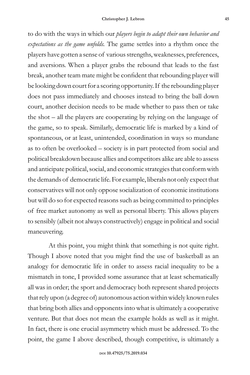to do with the ways in which our *players begin to adapt their own behavior and expectations as the game unfolds.* The game settles into a rhythm once the players have gotten a sense of various strengths, weaknesses, preferences, and aversions. When a player grabs the rebound that leads to the fast break, another team mate might be confident that rebounding player will be looking down court for a scoring opportunity. If the rebounding player does not pass immediately and chooses instead to bring the ball down court, another decision needs to be made whether to pass then or take the shot – all the players are cooperating by relying on the language of the game, so to speak. Similarly, democratic life is marked by a kind of spontaneous, or at least, unintended, coordination in ways so mundane as to often be overlooked – society is in part protected from social and political breakdown because allies and competitors alike are able to assess and anticipate political, social, and economic strategies that conform with the demands of democratic life. For example, liberals not only expect that conservatives will not only oppose socialization of economic institutions but will do so for expected reasons such as being committed to principles of free market autonomy as well as personal liberty. This allows players to sensibly (albeit not always constructively) engage in political and social maneuvering.

At this point, you might think that something is not quite right. Though I above noted that you might find the use of basketball as an analogy for democratic life in order to assess racial inequality to be a mismatch in tone, I provided some assurance that at least schematically all was in order; the sport and democracy both represent shared projects that rely upon (a degree of) autonomous action within widely known rules that bring both allies and opponents into what is ultimately a cooperative venture. But that does not mean the example holds as well as it might. In fact, there is one crucial asymmetry which must be addressed. To the point, the game I above described, though competitive, is ultimately a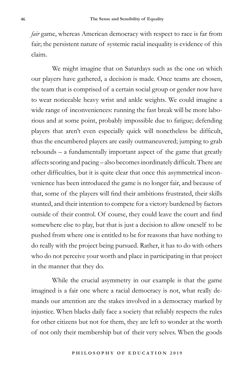*fair* game, whereas American democracy with respect to race is far from fair; the persistent nature of systemic racial inequality is evidence of this claim.

We might imagine that on Saturdays such as the one on which our players have gathered, a decision is made. Once teams are chosen, the team that is comprised of a certain social group or gender now have to wear noticeable heavy wrist and ankle weights. We could imagine a wide range of inconveniences: running the fast break will be more laborious and at some point, probably impossible due to fatigue; defending players that aren't even especially quick will nonetheless be difficult, thus the encumbered players are easily outmaneuvered; jumping to grab rebounds – a fundamentally important aspect of the game that greatly affects scoring and pacing – also becomes inordinately difficult. There are other difficulties, but it is quite clear that once this asymmetrical inconvenience has been introduced the game is no longer fair, and because of that, some of the players will find their ambitions frustrated, their skills stunted, and their intention to compete for a victory burdened by factors outside of their control. Of course, they could leave the court and find somewhere else to play, but that is just a decision to allow oneself to be pushed from where one is entitled to be for reasons that have nothing to do really with the project being pursued. Rather, it has to do with others who do not perceive your worth and place in participating in that project in the manner that they do.

While the crucial asymmetry in our example is that the game imagined is a fair one where a racial democracy is not, what really demands our attention are the stakes involved in a democracy marked by injustice. When blacks daily face a society that reliably respects the rules for other citizens but not for them, they are left to wonder at the worth of not only their membership but of their very selves. When the goods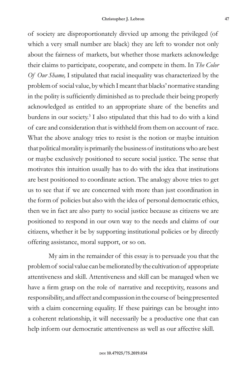of society are disproportionately divvied up among the privileged (of which a very small number are black) they are left to wonder not only about the fairness of markets, but whether those markets acknowledge their claims to participate, cooperate, and compete in them. In *The Color Of Our Shame,* I stipulated that racial inequality was characterized by the problem of social value, by which I meant that blacks' normative standing in the polity is sufficiently diminished as to preclude their being properly acknowledged as entitled to an appropriate share of the benefits and burdens in our society.<sup>3</sup> I also stipulated that this had to do with a kind of care and consideration that is withheld from them on account of race. What the above analogy tries to resist is the notion or maybe intuition that political morality is primarily the business of institutions who are best or maybe exclusively positioned to secure social justice. The sense that motivates this intuition usually has to do with the idea that institutions are best positioned to coordinate action. The analogy above tries to get us to see that if we are concerned with more than just coordination in the form of policies but also with the idea of personal democratic ethics, then we in fact are also party to social justice because as citizens we are positioned to respond in our own way to the needs and claims of our citizens, whether it be by supporting institutional policies or by directly offering assistance, moral support, or so on.

My aim in the remainder of this essay is to persuade you that the problem of social value can be meliorated by the cultivation of appropriate attentiveness and skill. Attentiveness and skill can be managed when we have a firm grasp on the role of narrative and receptivity, reasons and responsibility, and affect and compassion in the course of being presented with a claim concerning equality. If these pairings can be brought into a coherent relationship, it will necessarily be a productive one that can help inform our democratic attentiveness as well as our affective skill.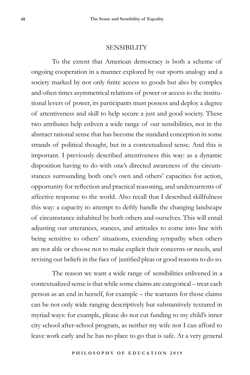## SENSIBILITY

To the extent that American democracy is both a scheme of ongoing cooperation in a manner explored by our sports analogy and a society marked by not only finite access to goods but also by complex and often times asymmetrical relations of power or access to the institutional levers of power, its participants must possess and deploy a degree of attentiveness and skill to help secure a just and good society. These two attributes help enliven a wide range of our sensibilities, not in the abstract rational sense that has become the standard conception in some strands of political thought, but in a contextualized sense. And this is important. I previously described attentiveness this way: as a dynamic disposition having to do with one's directed awareness of the circumstances surrounding both one's own and others' capacities for action, opportunity for reflection and practical reasoning, and undercurrents of affective response to the world. Also recall that I described skillfulness this way: a capacity to attempt to deftly handle the changing landscape of circumstance inhabited by both others and ourselves. This will entail adjusting our utterances, stances, and attitudes to come into line with being sensitive to others' situations, extending sympathy when others are not able or choose not to make explicit their concerns or needs, and revising our beliefs in the face of justified pleas or good reasons to do so.

The reason we want a wide range of sensibilities enlivened in a contextualized sense is that while some claims are categorical – treat each person as an end in herself, for example – the warrants for those claims can be not only wide ranging descriptively but substantively textured in myriad ways: for example, please do not cut funding to my child's inner city school after-school program, as neither my wife nor I can afford to leave work early and he has no place to go that is safe. At a very general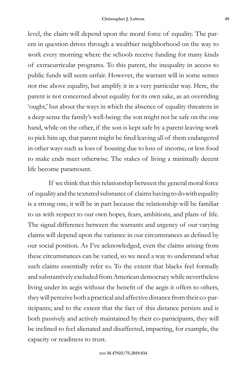level, the claim will depend upon the moral force of equality. The parent in question drives through a wealthier neighborhood on the way to work every morning where the schools receive funding for many kinds of extracurricular programs. To this parent, the inequality in access to public funds will seem unfair. However, the warrant will in some senses not rise above equality, but amplify it in a very particular way. Here, the parent is not concerned about equality for its own sake, as an overriding 'ought,' but about the ways in which the absence of equality threatens in a deep sense the family's well-being: the son might not be safe on the one hand, while on the other, if the son is kept safe by a parent leaving work to pick him up, that parent might be fired leaving all of them endangered in other ways such as loss of housing due to loss of income, or less food to make ends meet otherwise. The stakes of living a minimally decent life become paramount.

If we think that this relationship between the general moral force of equality and the textured substance of claims having to do with equality is a strong one, it will be in part because the relationship will be familiar to us with respect to our own hopes, fears, ambitions, and plans of life. The signal difference between the warrants and urgency of our varying claims will depend upon the variance in our circumstances as defined by our social position. As I've acknowledged, even the claims arising from these circumstances can be varied, so we need a way to understand what such claims essentially refer to. To the extent that blacks feel formally and substantively excluded from American democracy while nevertheless living under its aegis without the benefit of the aegis it offers to others, they will perceive both a practical and affective distance from their co-participants; and to the extent that the fact of this distance persists and is both passively and actively maintained by their co-participants, they will be inclined to feel alienated and disaffected, impacting, for example, the capacity or readiness to trust.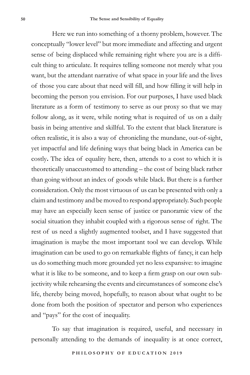Here we run into something of a thorny problem, however. The conceptually "lower level" but more immediate and affecting and urgent sense of being displaced while remaining right where you are is a difficult thing to articulate. It requires telling someone not merely what you want, but the attendant narrative of what space in your life and the lives of those you care about that need will fill, and how filling it will help in becoming the person you envision. For our purposes, I have used black literature as a form of testimony to serve as our proxy so that we may follow along, as it were, while noting what is required of us on a daily basis in being attentive and skillful. To the extent that black literature is often realistic, it is also a way of chronicling the mundane, out-of-sight, yet impactful and life defining ways that being black in America can be costly**.** The idea of equality here, then, attends to a cost to which it is theoretically unaccustomed to attending – the cost of being black rather than going without an index of goods while black. But there is a further consideration. Only the most virtuous of us can be presented with only a claim and testimony and be moved to respond appropriately. Such people may have an especially keen sense of justice or panoramic view of the social situation they inhabit coupled with a rigorous sense of right. The rest of us need a slightly augmented toolset, and I have suggested that imagination is maybe the most important tool we can develop. While imagination can be used to go on remarkable flights of fancy, it can help us do something much more grounded yet no less expansive: to imagine what it is like to be someone, and to keep a firm grasp on our own subjectivity while rehearsing the events and circumstances of someone else's life, thereby being moved, hopefully, to reason about what ought to be done from both the position of spectator and person who experiences and "pays" for the cost of inequality.

To say that imagination is required, useful, and necessary in personally attending to the demands of inequality is at once correct,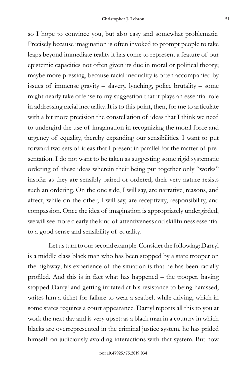so I hope to convince you, but also easy and somewhat problematic. Precisely because imagination is often invoked to prompt people to take leaps beyond immediate reality it has come to represent a feature of our epistemic capacities not often given its due in moral or political theory; maybe more pressing, because racial inequality is often accompanied by issues of immense gravity – slavery, lynching, police brutality – some might nearly take offense to my suggestion that it plays an essential role in addressing racial inequality. It is to this point, then, for me to articulate with a bit more precision the constellation of ideas that I think we need to undergird the use of imagination in recognizing the moral force and urgency of equality, thereby expanding our sensibilities. I want to put forward two sets of ideas that I present in parallel for the matter of presentation. I do not want to be taken as suggesting some rigid systematic ordering of these ideas wherein their being put together only "works" insofar as they are sensibly paired or ordered; their very nature resists such an ordering. On the one side, I will say, are narrative, reasons, and affect, while on the other, I will say, are receptivity, responsibility, and compassion. Once the idea of imagination is appropriately undergirded, we will see more clearly the kind of attentiveness and skillfulness essential to a good sense and sensibility of equality.

Let us turn to our second example. Consider the following: Darryl is a middle class black man who has been stopped by a state trooper on the highway; his experience of the situation is that he has been racially profiled. And this is in fact what has happened – the trooper, having stopped Darryl and getting irritated at his resistance to being harassed, writes him a ticket for failure to wear a seatbelt while driving, which in some states requires a court appearance. Darryl reports all this to you at work the next day and is very upset: as a black man in a country in which blacks are overrepresented in the criminal justice system, he has prided himself on judiciously avoiding interactions with that system. But now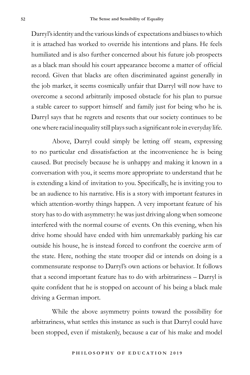Darryl's identity and the various kinds of expectations and biases to which it is attached has worked to override his intentions and plans. He feels humiliated and is also further concerned about his future job prospects as a black man should his court appearance become a matter of official record. Given that blacks are often discriminated against generally in the job market, it seems cosmically unfair that Darryl will now have to overcome a second arbitrarily imposed obstacle for his plan to pursue a stable career to support himself and family just for being who he is. Darryl says that he regrets and resents that our society continues to be one where racial inequality still plays such a significant role in everyday life.

Above, Darryl could simply be letting off steam, expressing to no particular end dissatisfaction at the inconvenience he is being caused. But precisely because he is unhappy and making it known in a conversation with you, it seems more appropriate to understand that he is extending a kind of invitation to you. Specifically, he is inviting you to be an audience to his narrative. His is a story with important features in which attention-worthy things happen. A very important feature of his story has to do with asymmetry: he was just driving along when someone interfered with the normal course of events. On this evening, when his drive home should have ended with him unremarkably parking his car outside his house, he is instead forced to confront the coercive arm of the state. Here, nothing the state trooper did or intends on doing is a commensurate response to Darryl's own actions or behavior. It follows that a second important feature has to do with arbitrariness – Darryl is quite confident that he is stopped on account of his being a black male driving a German import.

While the above asymmetry points toward the possibility for arbitrariness, what settles this instance as such is that Darryl could have been stopped, even if mistakenly, because a car of his make and model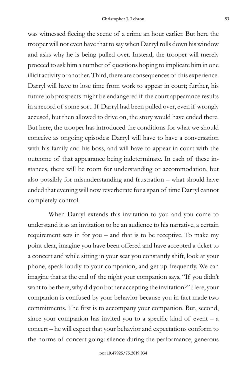was witnessed fleeing the scene of a crime an hour earlier. But here the trooper will not even have that to say when Darryl rolls down his window and asks why he is being pulled over. Instead, the trooper will merely proceed to ask him a number of questions hoping to implicate him in one illicit activity or another. Third, there are consequences of this experience. Darryl will have to lose time from work to appear in court; further, his future job prospects might be endangered if the court appearance results in a record of some sort. If Darryl had been pulled over, even if wrongly accused, but then allowed to drive on, the story would have ended there. But here, the trooper has introduced the conditions for what we should conceive as ongoing episodes: Darryl will have to have a conversation with his family and his boss, and will have to appear in court with the outcome of that appearance being indeterminate. In each of these instances, there will be room for understanding or accommodation, but also possibly for misunderstanding and frustration – what should have ended that evening will now reverberate for a span of time Darryl cannot completely control.

When Darryl extends this invitation to you and you come to understand it as an invitation to be an audience to his narrative, a certain requirement sets in for you – and that is to be receptive. To make my point clear, imagine you have been offered and have accepted a ticket to a concert and while sitting in your seat you constantly shift, look at your phone, speak loudly to your companion, and get up frequently. We can imagine that at the end of the night your companion says, "If you didn't want to be there, why did you bother accepting the invitation?" Here, your companion is confused by your behavior because you in fact made two commitments. The first is to accompany your companion. But, second, since your companion has invited you to a specific kind of event  $- a$ concert – he will expect that your behavior and expectations conform to the norms of concert going: silence during the performance, generous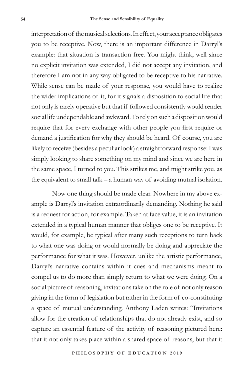interpretation of the musical selections. In effect, your acceptance obligates you to be receptive. Now, there is an important difference in Darryl's example: that situation is transaction free. You might think, well since no explicit invitation was extended, I did not accept any invitation, and therefore I am not in any way obligated to be receptive to his narrative. While sense can be made of your response, you would have to realize the wider implications of it, for it signals a disposition to social life that not only is rarely operative but that if followed consistently would render social life undependable and awkward. To rely on such a disposition would require that for every exchange with other people you first require or demand a justification for why they should be heard. Of course, you are likely to receive (besides a peculiar look) a straightforward response: I was simply looking to share something on my mind and since we are here in the same space, I turned to you. This strikes me, and might strike you, as the equivalent to small talk – a human way of avoiding mutual isolation.

Now one thing should be made clear. Nowhere in my above example is Darryl's invitation extraordinarily demanding. Nothing he said is a request for action, for example. Taken at face value, it is an invitation extended in a typical human manner that obliges one to be receptive. It would, for example, be typical after many such receptions to turn back to what one was doing or would normally be doing and appreciate the performance for what it was. However, unlike the artistic performance, Darryl's narrative contains within it cues and mechanisms meant to compel us to do more than simply return to what we were doing. On a social picture of reasoning, invitations take on the role of not only reason giving in the form of legislation but rather in the form of co-constituting a space of mutual understanding. Anthony Laden writes: "Invitations allow for the creation of relationships that do not already exist, and so capture an essential feature of the activity of reasoning pictured here: that it not only takes place within a shared space of reasons, but that it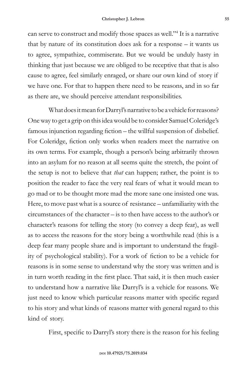can serve to construct and modify those spaces as well."4 It is a narrative that by nature of its constitution does ask for a response – it wants us to agree, sympathize, commiserate. But we would be unduly hasty in thinking that just because we are obliged to be receptive that that is also cause to agree, feel similarly enraged, or share our own kind of story if we have one. For that to happen there need to be reasons, and in so far as there are, we should perceive attendant responsibilities.

What does it mean for Darryl's narrative to be a vehicle for reasons? One way to get a grip on this idea would be to consider Samuel Coleridge's famous injunction regarding fiction – the willful suspension of disbelief. For Coleridge, fiction only works when readers meet the narrative on its own terms. For example, though a person's being arbitrarily thrown into an asylum for no reason at all seems quite the stretch, the point of the setup is not to believe that *that* can happen; rather, the point is to position the reader to face the very real fears of what it would mean to go mad or to be thought more mad the more sane one insisted one was. Here, to move past what is a source of resistance – unfamiliarity with the circumstances of the character – is to then have access to the author's or character's reasons for telling the story (to convey a deep fear), as well as to access the reasons for the story being a worthwhile read (this is a deep fear many people share and is important to understand the fragility of psychological stability). For a work of fiction to be a vehicle for reasons is in some sense to understand why the story was written and is in turn worth reading in the first place. That said, it is then much easier to understand how a narrative like Darryl's is a vehicle for reasons. We just need to know which particular reasons matter with specific regard to his story and what kinds of reasons matter with general regard to this kind of story.

First, specific to Darryl's story there is the reason for his feeling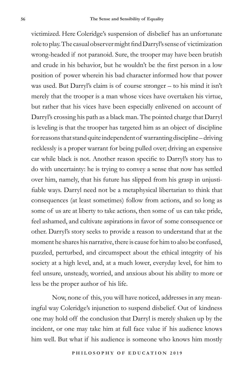victimized. Here Coleridge's suspension of disbelief has an unfortunate role to play. The casual observer might find Darryl's sense of victimization wrong-headed if not paranoid. Sure, the trooper may have been brutish and crude in his behavior, but he wouldn't be the first person in a low position of power wherein his bad character informed how that power was used. But Darryl's claim is of course stronger – to his mind it isn't merely that the trooper is a man whose vices have overtaken his virtue, but rather that his vices have been especially enlivened on account of Darryl's crossing his path as a black man. The pointed charge that Darryl is leveling is that the trooper has targeted him as an object of discipline for reasons that stand quite independent of warranting discipline – driving recklessly is a proper warrant for being pulled over; driving an expensive car while black is not. Another reason specific to Darryl's story has to do with uncertainty: he is trying to convey a sense that now has settled over him, namely, that his future has slipped from his grasp in unjustifiable ways. Darryl need not be a metaphysical libertarian to think that consequences (at least sometimes) follow from actions, and so long as some of us are at liberty to take actions, then some of us can take pride, feel ashamed, and cultivate aspirations in favor of some consequence or other. Darryl's story seeks to provide a reason to understand that at the moment he shares his narrative, there is cause for him to also be confused, puzzled, perturbed, and circumspect about the ethical integrity of his society at a high level, and, at a much lower, everyday level, for him to feel unsure, unsteady, worried, and anxious about his ability to more or less be the proper author of his life.

Now, none of this, you will have noticed, addresses in any meaningful way Coleridge's injunction to suspend disbelief. Out of kindness one may hold off the conclusion that Darryl is merely shaken up by the incident, or one may take him at full face value if his audience knows him well. But what if his audience is someone who knows him mostly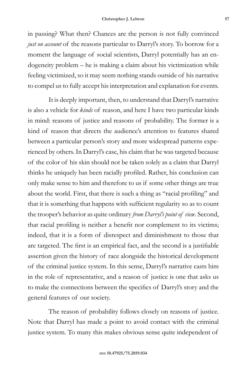in passing? What then? Chances are the person is not fully convinced *just on account* of the reasons particular to Darryl's story. To borrow for a moment the language of social scientists, Darryl potentially has an endogeneity problem – he is making a claim about his victimization while feeling victimized, so it may seem nothing stands outside of his narrative to compel us to fully accept his interpretation and explanation for events.

It is deeply important, then, to understand that Darryl's narrative is also a vehicle for *kinds* of reason, and here I have two particular kinds in mind: reasons of justice and reasons of probability. The former is a kind of reason that directs the audience's attention to features shared between a particular person's story and more widespread patterns experienced by others. In Darryl's case, his claim that he was targeted because of the color of his skin should not be taken solely as a claim that Darryl thinks he uniquely has been racially profiled. Rather, his conclusion can only make sense to him and therefore to us if some other things are true about the world. First, that there is such a thing as "racial profiling" and that it is something that happens with sufficient regularity so as to count the trooper's behavior as quite ordinary *from Darryl's point of view*. Second, that racial profiling is neither a benefit nor complement to its victims; indeed, that it is a form of disrespect and diminishment to those that are targeted. The first is an empirical fact, and the second is a justifiable assertion given the history of race alongside the historical development of the criminal justice system. In this sense, Darryl's narrative casts him in the role of representative, and a reason of justice is one that asks us to make the connections between the specifics of Darryl's story and the general features of our society.

The reason of probability follows closely on reasons of justice. Note that Darryl has made a point to avoid contact with the criminal justice system. To many this makes obvious sense quite independent of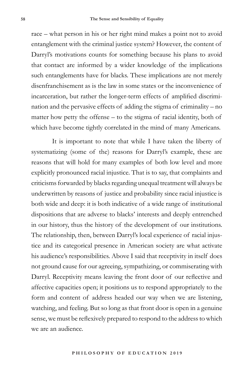race – what person in his or her right mind makes a point not to avoid entanglement with the criminal justice system? However, the content of Darryl's motivations counts for something because his plans to avoid that contact are informed by a wider knowledge of the implications such entanglements have for blacks. These implications are not merely disenfranchisement as is the law in some states or the inconvenience of incarceration, but rather the longer-term effects of amplified discrimination and the pervasive effects of adding the stigma of criminality – no matter how petty the offense – to the stigma of racial identity, both of which have become tightly correlated in the mind of many Americans.

It is important to note that while I have taken the liberty of systematizing (some of the) reasons for Darryl's example, these are reasons that will hold for many examples of both low level and more explicitly pronounced racial injustice. That is to say, that complaints and criticisms forwarded by blacks regarding unequal treatment will always be underwritten by reasons of justice and probability since racial injustice is both wide and deep: it is both indicative of a wide range of institutional dispositions that are adverse to blacks' interests and deeply entrenched in our history, thus the history of the development of our institutions. The relationship, then, between Darryl's local experience of racial injustice and its categorical presence in American society are what activate his audience's responsibilities. Above I said that receptivity in itself does not ground cause for our agreeing, sympathizing, or commiserating with Darryl. Receptivity means leaving the front door of our reflective and affective capacities open; it positions us to respond appropriately to the form and content of address headed our way when we are listening, watching, and feeling. But so long as that front door is open in a genuine sense, we must be reflexively prepared to respond to the address to which we are an audience.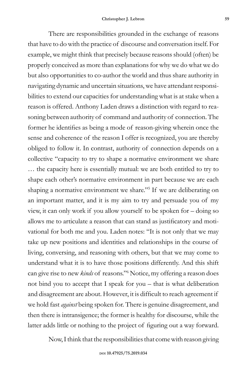There are responsibilities grounded in the exchange of reasons that have to do with the practice of discourse and conversation itself. For example, we might think that precisely because reasons should (often) be properly conceived as more than explanations for why we do what we do but also opportunities to co-author the world and thus share authority in navigating dynamic and uncertain situations, we have attendant responsibilities to extend our capacities for understanding what is at stake when a reason is offered. Anthony Laden draws a distinction with regard to reasoning between authority of command and authority of connection. The former he identifies as being a mode of reason-giving wherein once the sense and coherence of the reason I offer is recognized, you are thereby obliged to follow it. In contrast, authority of connection depends on a collective "capacity to try to shape a normative environment we share … the capacity here is essentially mutual: we are both entitled to try to shape each other's normative environment in part because we are each shaping a normative environment we share."<sup>5</sup> If we are deliberating on an important matter, and it is my aim to try and persuade you of my view, it can only work if you allow yourself to be spoken for – doing so allows me to articulate a reason that can stand as justificatory and motivational for both me and you. Laden notes: "It is not only that we may take up new positions and identities and relationships in the course of living, conversing, and reasoning with others, but that we may come to understand what it is to have those positions differently. And this shift can give rise to new *kinds* of reasons."6 Notice, my offering a reason does not bind you to accept that I speak for you – that is what deliberation and disagreement are about. However, it is difficult to reach agreement if we hold fast *against* being spoken for. There is genuine disagreement, and then there is intransigence; the former is healthy for discourse, while the latter adds little or nothing to the project of figuring out a way forward.

Now, I think that the responsibilities that come with reason giving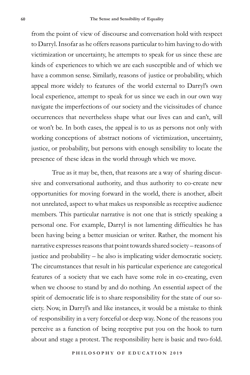from the point of view of discourse and conversation hold with respect to Darryl. Insofar as he offers reasons particular to him having to do with victimization or uncertainty, he attempts to speak for us since these are kinds of experiences to which we are each susceptible and of which we have a common sense. Similarly, reasons of justice or probability, which appeal more widely to features of the world external to Darryl's own local experience, attempt to speak for us since we each in our own way navigate the imperfections of our society and the vicissitudes of chance occurrences that nevertheless shape what our lives can and can't, will or won't be. In both cases, the appeal is to us as persons not only with working conceptions of abstract notions of victimization, uncertainty, justice, or probability, but persons with enough sensibility to locate the presence of these ideas in the world through which we move.

True as it may be, then, that reasons are a way of sharing discursive and conversational authority, and thus authority to co-create new opportunities for moving forward in the world, there is another, albeit not unrelated, aspect to what makes us responsible as receptive audience members. This particular narrative is not one that is strictly speaking a personal one. For example, Darryl is not lamenting difficulties he has been having being a better musician or writer. Rather, the moment his narrative expresses reasons that point towards shared society – reasons of justice and probability – he also is implicating wider democratic society. The circumstances that result in his particular experience are categorical features of a society that we each have some role in co-creating, even when we choose to stand by and do nothing. An essential aspect of the spirit of democratic life is to share responsibility for the state of our society. Now, in Darryl's and like instances, it would be a mistake to think of responsibility in a very forceful or deep way. None of the reasons you perceive as a function of being receptive put you on the hook to turn about and stage a protest. The responsibility here is basic and two-fold.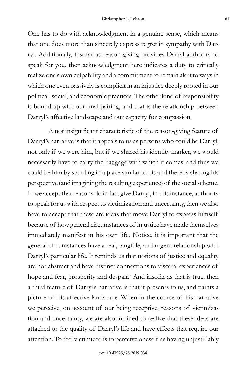One has to do with acknowledgment in a genuine sense, which means that one does more than sincerely express regret in sympathy with Darryl. Additionally, insofar as reason-giving provides Darryl authority to speak for you, then acknowledgment here indicates a duty to critically realize one's own culpability and a commitment to remain alert to ways in which one even passively is complicit in an injustice deeply rooted in our political, social, and economic practices. The other kind of responsibility is bound up with our final pairing, and that is the relationship between Darryl's affective landscape and our capacity for compassion.

A not insignificant characteristic of the reason-giving feature of Darryl's narrative is that it appeals to us as persons who could be Darryl; not only if we were him, but if we shared his identity marker, we would necessarily have to carry the baggage with which it comes, and thus we could be him by standing in a place similar to his and thereby sharing his perspective (and imagining the resulting experience) of the social scheme. If we accept that reasons do in fact give Darryl, in this instance, authority to speak for us with respect to victimization and uncertainty, then we also have to accept that these are ideas that move Darryl to express himself because of how general circumstances of injustice have made themselves immediately manifest in his own life. Notice, it is important that the general circumstances have a real, tangible, and urgent relationship with Darryl's particular life. It reminds us that notions of justice and equality are not abstract and have distinct connections to visceral experiences of hope and fear, prosperity and despair.<sup>7</sup> And insofar as that is true, then a third feature of Darryl's narrative is that it presents to us, and paints a picture of his affective landscape. When in the course of his narrative we perceive, on account of our being receptive, reasons of victimization and uncertainty, we are also inclined to realize that these ideas are attached to the quality of Darryl's life and have effects that require our attention. To feel victimized is to perceive oneself as having unjustifiably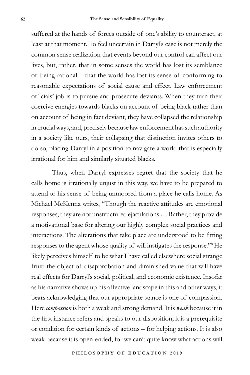suffered at the hands of forces outside of one's ability to counteract, at least at that moment. To feel uncertain in Darryl's case is not merely the common sense realization that events beyond our control can affect our lives, but, rather, that in some senses the world has lost its semblance of being rational – that the world has lost its sense of conforming to reasonable expectations of social cause and effect. Law enforcement officials' job is to pursue and prosecute deviants. When they turn their coercive energies towards blacks on account of being black rather than on account of being in fact deviant, they have collapsed the relationship in crucial ways, and, precisely because law enforcement has such authority in a society like ours, their collapsing that distinction invites others to do so, placing Darryl in a position to navigate a world that is especially irrational for him and similarly situated blacks.

Thus, when Darryl expresses regret that the society that he calls home is irrationally unjust in this way, we have to be prepared to attend to his sense of being unmoored from a place he calls home. As Michael McKenna writes, "Though the reactive attitudes are emotional responses, they are not unstructured ejaculations … Rather, they provide a motivational base for altering our highly complex social practices and interactions. The alterations that take place are understood to be fitting responses to the agent whose quality of will instigates the response."8 He likely perceives himself to be what I have called elsewhere social strange fruit: the object of disapprobation and diminished value that will have real effects for Darryl's social, political, and economic existence. Insofar as his narrative shows up his affective landscape in this and other ways, it bears acknowledging that our appropriate stance is one of compassion. Here *compassion* is both a weak and strong demand. It is *weak* because it in the first instance refers and speaks to our disposition; it is a prerequisite or condition for certain kinds of actions – for helping actions. It is also weak because it is open-ended, for we can't quite know what actions will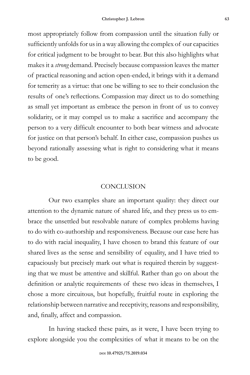most appropriately follow from compassion until the situation fully or sufficiently unfolds for us in a way allowing the complex of our capacities for critical judgment to be brought to bear. But this also highlights what makes it a *strong* demand. Precisely because compassion leaves the matter of practical reasoning and action open-ended, it brings with it a demand for temerity as a virtue: that one be willing to see to their conclusion the results of one's reflections. Compassion may direct us to do something as small yet important as embrace the person in front of us to convey solidarity, or it may compel us to make a sacrifice and accompany the person to a very difficult encounter to both bear witness and advocate for justice on that person's behalf. In either case, compassion pushes us beyond rationally assessing what is right to considering what it means to be good.

## CONCLUSION

Our two examples share an important quality: they direct our attention to the dynamic nature of shared life, and they press us to embrace the unsettled but resolvable nature of complex problems having to do with co-authorship and responsiveness. Because our case here has to do with racial inequality, I have chosen to brand this feature of our shared lives as the sense and sensibility of equality, and I have tried to capaciously but precisely mark out what is required therein by suggesting that we must be attentive and skillful. Rather than go on about the definition or analytic requirements of these two ideas in themselves, I chose a more circuitous, but hopefully, fruitful route in exploring the relationship between narrative and receptivity, reasons and responsibility, and, finally, affect and compassion.

In having stacked these pairs, as it were, I have been trying to explore alongside you the complexities of what it means to be on the